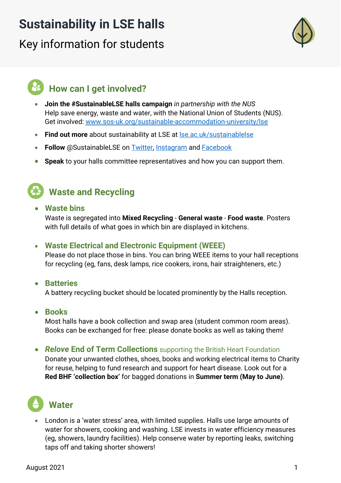## **Sustainability in LSE halls**

# Key information for students



## **How can I get involved?**

- **Join the #SustainableLSE halls campaign** *in partnership with the NUS* Help save energy, waste and water, with the National Union of Students (NUS). Get involved: [www.sos-uk.org/sustainable-accommodation-university/lse](http://www.sos-uk.org/sustainable-accommodation-university/lse)
- **Find out more** about sustainability at LSE at [lse.ac.uk/sustainablelse](https://info.lse.ac.uk/staff/divisions/estates-division/sustainable-lse)
- **Follow** @SustainableLSE on [Twitter,](https://twitter.com/SustainableLSE) [Instagram](https://www.instagram.com/sustainablelse/) and [Facebook](https://www.facebook.com/SustainableLondonSchoolofEconomics)
- **Speak** to your halls committee representatives and how you can support them.



## **Waste and Recycling**

• **Waste bins**

Waste is segregated into **Mixed Recycling** - **General waste** - **Food waste**. Posters with full details of what goes in which bin are displayed in kitchens.

#### • **Waste Electrical and Electronic Equipment (WEEE)**

Please do not place those in bins. You can bring WEEE items to your hall receptions for recycling (eg, fans, desk lamps, rice cookers, irons, hair straighteners, etc.)

• **Batteries**

A battery recycling bucket should be located prominently by the Halls reception.

• **Books**

Most halls have a book collection and swap area (student common room areas). Books can be exchanged for free: please donate books as well as taking them!

• *Relove* **End of Term Collections** supporting the British Heart Foundation

Donate your unwanted clothes, shoes, books and working electrical items to Charity for reuse, helping to fund research and support for heart disease. Look out for a **Red BHF 'collection box'** for bagged donations in **Summer term (May to June)**.

# **Water**

• London is a 'water stress' area, with limited supplies. Halls use large amounts of water for showers, cooking and washing. LSE invests in water efficiency measures (eg, showers, laundry facilities). Help conserve water by reporting leaks, switching taps off and taking shorter showers!